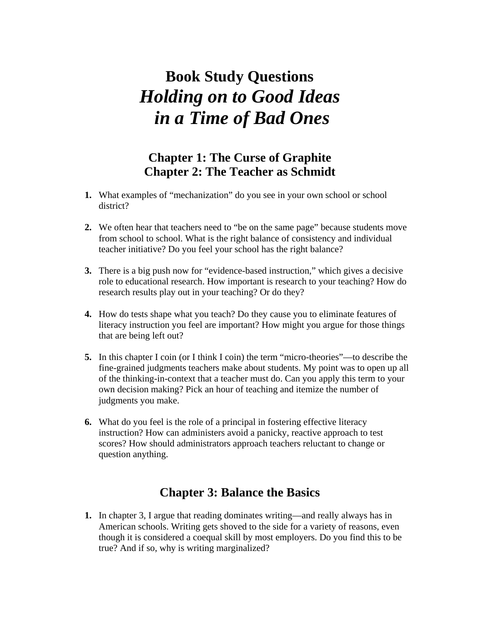# **Book Study Questions**  *Holding on to Good Ideas in a Time of Bad Ones*

## **Chapter 1: The Curse of Graphite Chapter 2: The Teacher as Schmidt**

- **1.** What examples of "mechanization" do you see in your own school or school district?
- **2.** We often hear that teachers need to "be on the same page" because students move from school to school. What is the right balance of consistency and individual teacher initiative? Do you feel your school has the right balance?
- **3.** There is a big push now for "evidence-based instruction," which gives a decisive role to educational research. How important is research to your teaching? How do research results play out in your teaching? Or do they?
- **4.** How do tests shape what you teach? Do they cause you to eliminate features of literacy instruction you feel are important? How might you argue for those things that are being left out?
- **5.** In this chapter I coin (or I think I coin) the term "micro-theories"—to describe the fine-grained judgments teachers make about students. My point was to open up all of the thinking-in-context that a teacher must do. Can you apply this term to your own decision making? Pick an hour of teaching and itemize the number of judgments you make.
- **6.** What do you feel is the role of a principal in fostering effective literacy instruction? How can administers avoid a panicky, reactive approach to test scores? How should administrators approach teachers reluctant to change or question anything.

#### **Chapter 3: Balance the Basics**

**1.** In chapter 3, I argue that reading dominates writing—and really always has in American schools. Writing gets shoved to the side for a variety of reasons, even though it is considered a coequal skill by most employers. Do you find this to be true? And if so, why is writing marginalized?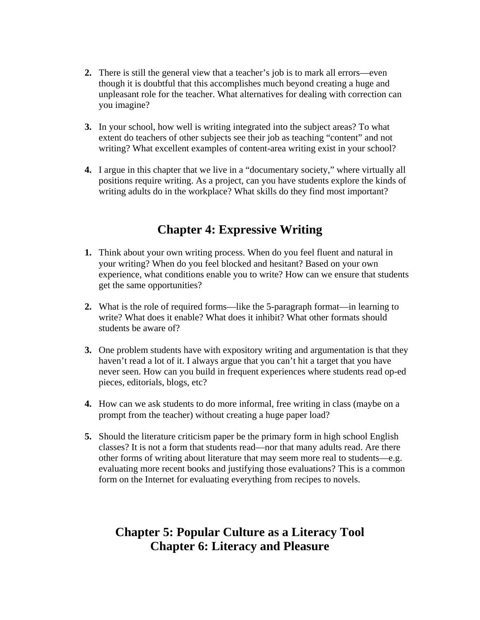- **2.** There is still the general view that a teacher's job is to mark all errors—even though it is doubtful that this accomplishes much beyond creating a huge and unpleasant role for the teacher. What alternatives for dealing with correction can you imagine?
- **3.** In your school, how well is writing integrated into the subject areas? To what extent do teachers of other subjects see their job as teaching "content" and not writing? What excellent examples of content-area writing exist in your school?
- **4.** I argue in this chapter that we live in a "documentary society," where virtually all positions require writing. As a project, can you have students explore the kinds of writing adults do in the workplace? What skills do they find most important?

# **Chapter 4: Expressive Writing**

- **1.** Think about your own writing process. When do you feel fluent and natural in your writing? When do you feel blocked and hesitant? Based on your own experience, what conditions enable you to write? How can we ensure that students get the same opportunities?
- **2.** What is the role of required forms—like the 5-paragraph format—in learning to write? What does it enable? What does it inhibit? What other formats should students be aware of?
- **3.** One problem students have with expository writing and argumentation is that they haven't read a lot of it. I always argue that you can't hit a target that you have never seen. How can you build in frequent experiences where students read op-ed pieces, editorials, blogs, etc?
- **4.** How can we ask students to do more informal, free writing in class (maybe on a prompt from the teacher) without creating a huge paper load?
- **5.** Should the literature criticism paper be the primary form in high school English classes? It is not a form that students read—nor that many adults read. Are there other forms of writing about literature that may seem more real to students—e.g. evaluating more recent books and justifying those evaluations? This is a common form on the Internet for evaluating everything from recipes to novels.

## **Chapter 5: Popular Culture as a Literacy Tool Chapter 6: Literacy and Pleasure**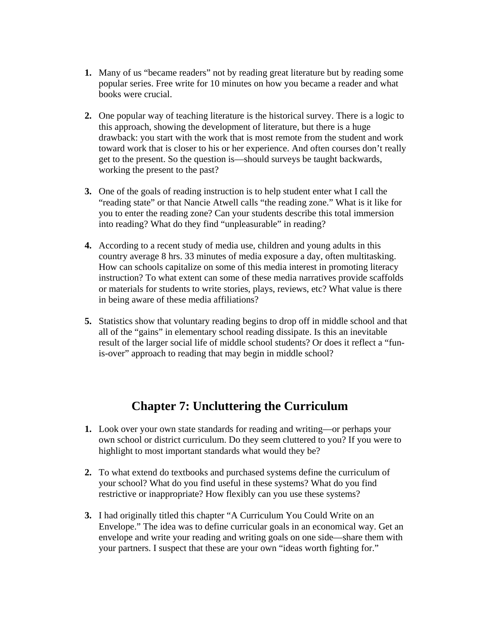- **1.** Many of us "became readers" not by reading great literature but by reading some popular series. Free write for 10 minutes on how you became a reader and what books were crucial.
- **2.** One popular way of teaching literature is the historical survey. There is a logic to this approach, showing the development of literature, but there is a huge drawback: you start with the work that is most remote from the student and work toward work that is closer to his or her experience. And often courses don't really get to the present. So the question is—should surveys be taught backwards, working the present to the past?
- **3.** One of the goals of reading instruction is to help student enter what I call the "reading state" or that Nancie Atwell calls "the reading zone." What is it like for you to enter the reading zone? Can your students describe this total immersion into reading? What do they find "unpleasurable" in reading?
- **4.** According to a recent study of media use, children and young adults in this country average 8 hrs. 33 minutes of media exposure a day, often multitasking. How can schools capitalize on some of this media interest in promoting literacy instruction? To what extent can some of these media narratives provide scaffolds or materials for students to write stories, plays, reviews, etc? What value is there in being aware of these media affiliations?
- **5.** Statistics show that voluntary reading begins to drop off in middle school and that all of the "gains" in elementary school reading dissipate. Is this an inevitable result of the larger social life of middle school students? Or does it reflect a "funis-over" approach to reading that may begin in middle school?

#### **Chapter 7: Uncluttering the Curriculum**

- **1.** Look over your own state standards for reading and writing—or perhaps your own school or district curriculum. Do they seem cluttered to you? If you were to highlight to most important standards what would they be?
- **2.** To what extend do textbooks and purchased systems define the curriculum of your school? What do you find useful in these systems? What do you find restrictive or inappropriate? How flexibly can you use these systems?
- **3.** I had originally titled this chapter "A Curriculum You Could Write on an Envelope." The idea was to define curricular goals in an economical way. Get an envelope and write your reading and writing goals on one side—share them with your partners. I suspect that these are your own "ideas worth fighting for."